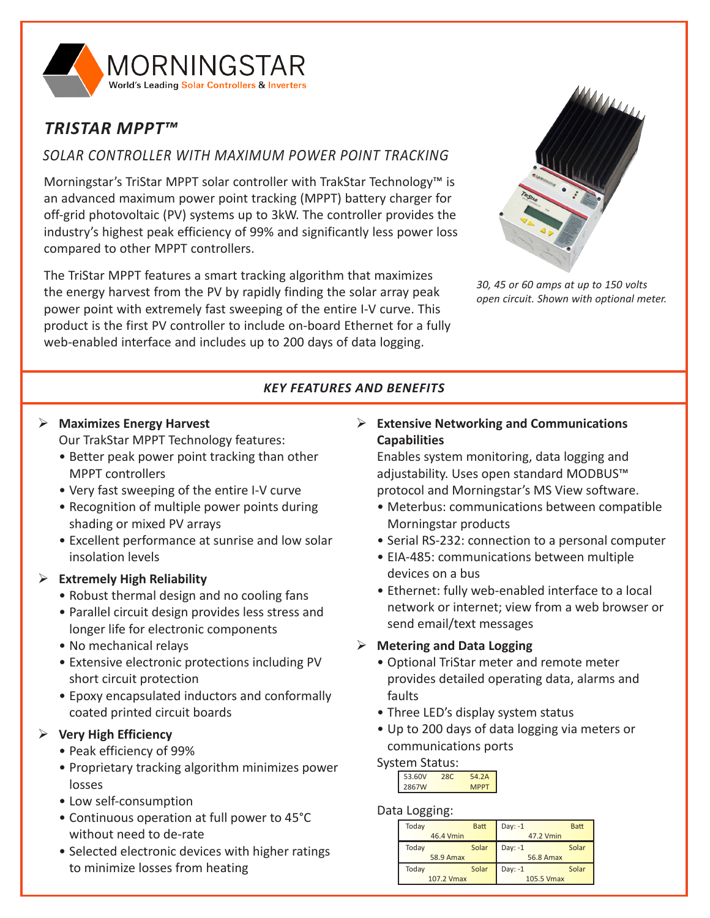

# *TRISTAR MPPT™*

## *SOLAR CONTROLLER WITH MAXIMUM POWER POINT TRACKING*

Morningstar's TriStar MPPT solar controller with TrakStar Technology™ is an advanced maximum power point tracking (MPPT) battery charger for off-grid photovoltaic (PV) systems up to 3kW. The controller provides the industry's highest peak efficiency of 99% and significantly less power loss compared to other MPPT controllers.

The TriStar MPPT features a smart tracking algorithm that maximizes the energy harvest from the PV by rapidly finding the solar array peak power point with extremely fast sweeping of the entire I-V curve. This product is the first PV controller to include on-board Ethernet for a fully web-enabled interface and includes up to 200 days of data logging.



*30, 45 or 60 amps at up to 150 volts open circuit. Shown with optional meter.*

### *KEY FEATURES AND BENEFITS*

## ¾ **Maximizes Energy Harvest**

Our TrakStar MPPT Technology features:

- Better peak power point tracking than other MPPT controllers
- Very fast sweeping of the entire I-V curve
- Recognition of multiple power points during shading or mixed PV arrays
- Excellent performance at sunrise and low solar insolation levels

### ¾ **Extremely High Reliability**

- Robust thermal design and no cooling fans
- Parallel circuit design provides less stress and longer life for electronic components
- No mechanical relays
- Extensive electronic protections including PV short circuit protection
- Epoxy encapsulated inductors and conformally coated printed circuit boards

### ¾ **Very High Efficiency**

- Peak efficiency of 99%
- Proprietary tracking algorithm minimizes power losses
- Low self-consumption
- Continuous operation at full power to 45°C without need to de-rate
- Selected electronic devices with higher ratings to minimize losses from heating

### ¾ **Extensive Networking and Communications Capabilities**

Enables system monitoring, data logging and adjustability. Uses open standard MODBUS<sup>™</sup> protocol and Morningstar's MS View software.

- Meterbus: communications between compatible Morningstar products
- Serial RS-232: connection to a personal computer
- EIA-485: communications between multiple devices on a bus
- Ethernet: fully web-enabled interface to a local network or internet; view from a web browser or send email/text messages

### ¾ **Metering and Data Logging**

- Optional TriStar meter and remote meter provides detailed operating data, alarms and faults
- Three LED's display system status
- Up to 200 days of data logging via meters or communications ports

### System Status:

| 280 | 54.2A       |
|-----|-------------|
|     | <b>MPPT</b> |
|     |             |

### Data Logging:

| Today      | <b>Batt</b> | $Day: -1$        | <b>Batt</b> |
|------------|-------------|------------------|-------------|
| 46.4 Vmin  |             | 47.2 Vmin        |             |
| Today      | Solar       | Day: $-1$        | Solar       |
| 58.9 Amax  |             | <b>56.8 Amax</b> |             |
| Today      | Solar       | Day: $-1$        | Solar       |
| 107.2 Vmax |             | 105.5 Vmax       |             |